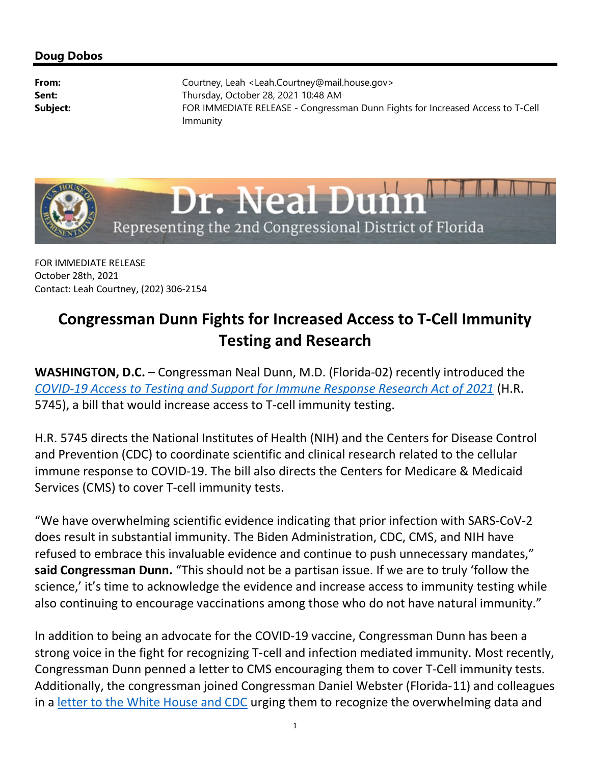## Doug Dobos

**From:** Courtney, Leah <Leah.Courtney@mail.house.gov> Sent: Thursday, October 28, 2021 10:48 AM Subject: FOR IMMEDIATE RELEASE - Congressman Dunn Fights for Increased Access to T-Cell Immunity



FOR IMMEDIATE RELEASE October 28th, 2021 Contact: Leah Courtney, (202) 306-2154

## Congressman Dunn Fights for Increased Access to T-Cell Immunity Testing and Research

WASHINGTON, D.C. – Congressman Neal Dunn, M.D. (Florida-02) recently introduced the COVID-19 Access to Testing and Support for Immune Response Research Act of 2021 (H.R. 5745), a bill that would increase access to T-cell immunity testing.

H.R. 5745 directs the National Institutes of Health (NIH) and the Centers for Disease Control and Prevention (CDC) to coordinate scientific and clinical research related to the cellular immune response to COVID-19. The bill also directs the Centers for Medicare & Medicaid Services (CMS) to cover T-cell immunity tests.

"We have overwhelming scientific evidence indicating that prior infection with SARS-CoV-2 does result in substantial immunity. The Biden Administration, CDC, CMS, and NIH have refused to embrace this invaluable evidence and continue to push unnecessary mandates," said Congressman Dunn. "This should not be a partisan issue. If we are to truly 'follow the science,' it's time to acknowledge the evidence and increase access to immunity testing while also continuing to encourage vaccinations among those who do not have natural immunity."

In addition to being an advocate for the COVID-19 vaccine, Congressman Dunn has been a strong voice in the fight for recognizing T-cell and infection mediated immunity. Most recently, Congressman Dunn penned a letter to CMS encouraging them to cover T-Cell immunity tests. Additionally, the congressman joined Congressman Daniel Webster (Florida-11) and colleagues in a letter to the White House and CDC urging them to recognize the overwhelming data and